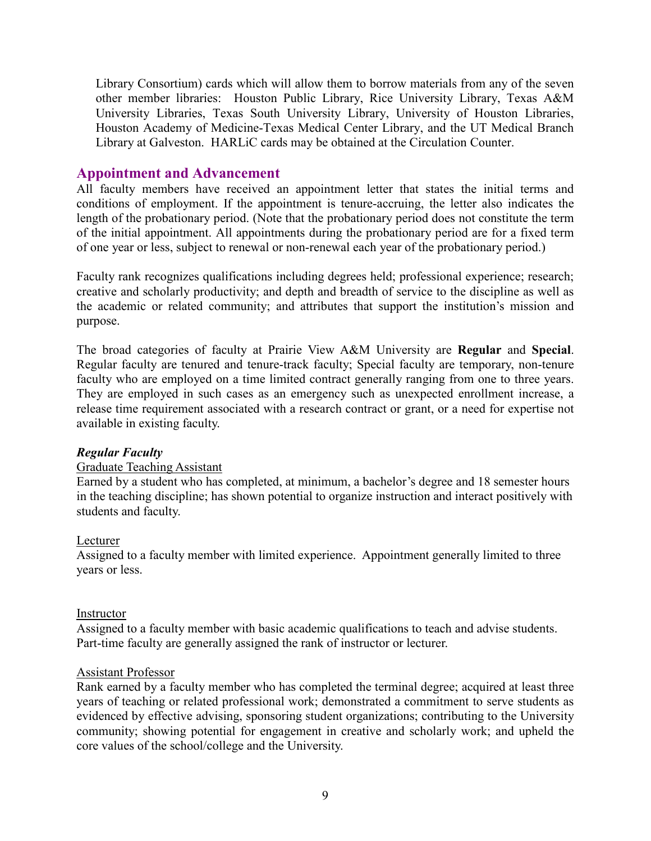Library Consortium) cards which will allow them to borrow materials from any of the seven other member libraries: Houston Public Library, Rice University Library, Texas A&M University Libraries, Texas South University Library, University of Houston Libraries, Houston Academy of Medicine-Texas Medical Center Library, and the UT Medical Branch Library at Galveston. HARLiC cards may be obtained at the Circulation Counter.

## Appointment and Advancement

All faculty members have received an appointment letter that states the initial terms and conditions of employment. If the appointment is tenure-accruing, the letter also indicates the length of the probationary period. (Note that the probationary period does not constitute the term of the initial appointment. All appointments during the probationary period are for a fixed term of one year or less, subject to renewal or non-renewal each year of the probationary period.)

Faculty rank recognizes qualifications including degrees held; professional experience; research; creative and scholarly productivity; and depth and breadth of service to the discipline as well as the academic or related community; and attributes that support the institution's mission and purpose.

The broad categories of faculty at Prairie View A&M University are Regular and Special. Regular faculty are tenured and tenure-track faculty; Special faculty are temporary, non-tenure faculty who are employed on a time limited contract generally ranging from one to three years. They are employed in such cases as an emergency such as unexpected enrollment increase, a release time requirement associated with a research contract or grant, or a need for expertise not available in existing faculty.

## Regular Faculty

### Graduate Teaching Assistant

Earned by a student who has completed, at minimum, a bachelor's degree and 18 semester hours in the teaching discipline; has shown potential to organize instruction and interact positively with students and faculty.

#### Lecturer

Assigned to a faculty member with limited experience. Appointment generally limited to three years or less.

#### Instructor

Assigned to a faculty member with basic academic qualifications to teach and advise students. Part-time faculty are generally assigned the rank of instructor or lecturer.

## Assistant Professor

Rank earned by a faculty member who has completed the terminal degree; acquired at least three years of teaching or related professional work; demonstrated a commitment to serve students as evidenced by effective advising, sponsoring student organizations; contributing to the University community; showing potential for engagement in creative and scholarly work; and upheld the core values of the school/college and the University.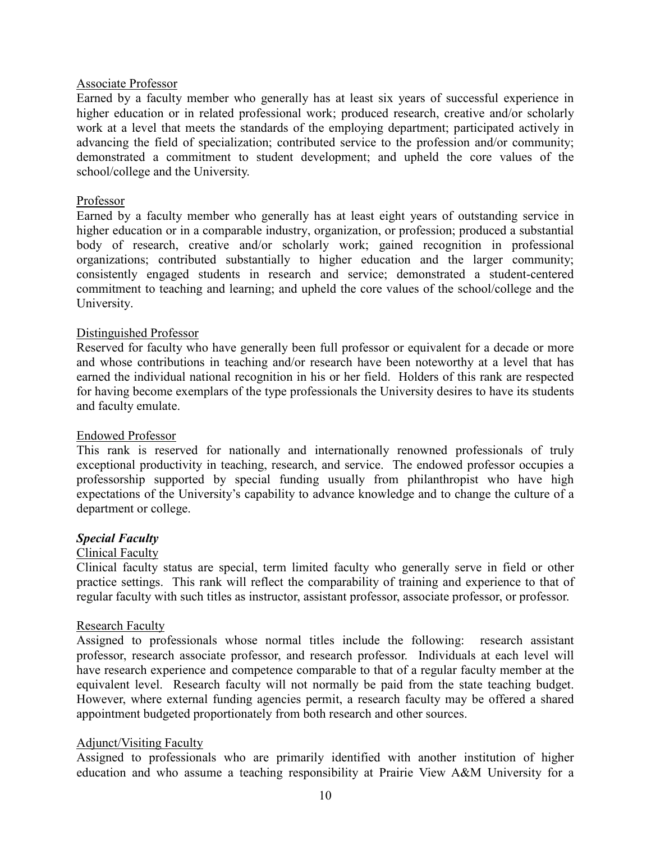## Associate Professor

Earned by a faculty member who generally has at least six years of successful experience in higher education or in related professional work; produced research, creative and/or scholarly work at a level that meets the standards of the employing department; participated actively in advancing the field of specialization; contributed service to the profession and/or community; demonstrated a commitment to student development; and upheld the core values of the school/college and the University.

### Professor

Earned by a faculty member who generally has at least eight years of outstanding service in higher education or in a comparable industry, organization, or profession; produced a substantial body of research, creative and/or scholarly work; gained recognition in professional organizations; contributed substantially to higher education and the larger community; consistently engaged students in research and service; demonstrated a student-centered commitment to teaching and learning; and upheld the core values of the school/college and the University.

### Distinguished Professor

Reserved for faculty who have generally been full professor or equivalent for a decade or more and whose contributions in teaching and/or research have been noteworthy at a level that has earned the individual national recognition in his or her field. Holders of this rank are respected for having become exemplars of the type professionals the University desires to have its students and faculty emulate.

## Endowed Professor

This rank is reserved for nationally and internationally renowned professionals of truly exceptional productivity in teaching, research, and service. The endowed professor occupies a professorship supported by special funding usually from philanthropist who have high expectations of the University's capability to advance knowledge and to change the culture of a department or college.

## Special Faculty

## Clinical Faculty

Clinical faculty status are special, term limited faculty who generally serve in field or other practice settings. This rank will reflect the comparability of training and experience to that of regular faculty with such titles as instructor, assistant professor, associate professor, or professor.

#### Research Faculty

Assigned to professionals whose normal titles include the following: research assistant professor, research associate professor, and research professor. Individuals at each level will have research experience and competence comparable to that of a regular faculty member at the equivalent level. Research faculty will not normally be paid from the state teaching budget. However, where external funding agencies permit, a research faculty may be offered a shared appointment budgeted proportionately from both research and other sources.

#### Adjunct/Visiting Faculty

Assigned to professionals who are primarily identified with another institution of higher education and who assume a teaching responsibility at Prairie View A&M University for a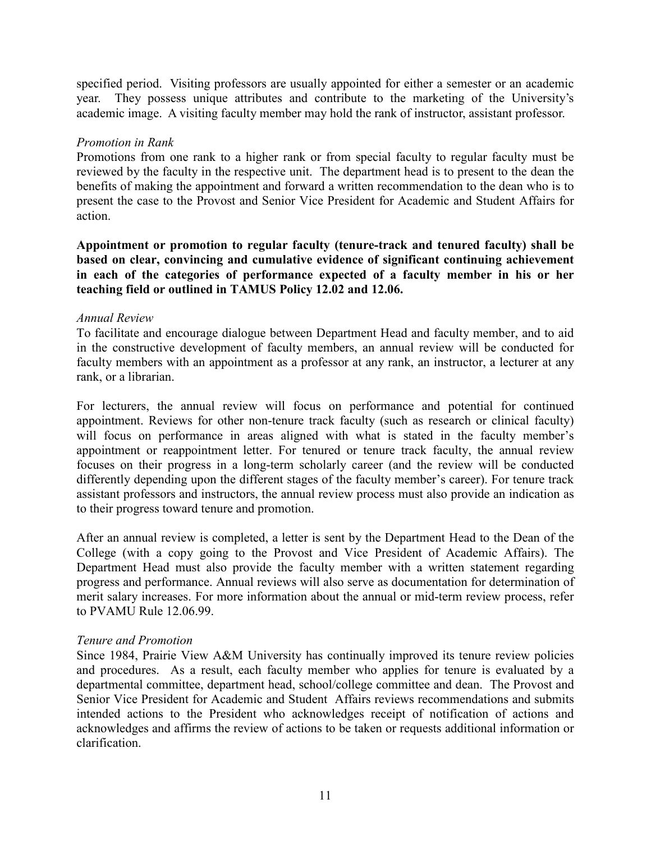specified period. Visiting professors are usually appointed for either a semester or an academic year. They possess unique attributes and contribute to the marketing of the University's academic image. A visiting faculty member may hold the rank of instructor, assistant professor.

## Promotion in Rank

Promotions from one rank to a higher rank or from special faculty to regular faculty must be reviewed by the faculty in the respective unit. The department head is to present to the dean the benefits of making the appointment and forward a written recommendation to the dean who is to present the case to the Provost and Senior Vice President for Academic and Student Affairs for action.

Appointment or promotion to regular faculty (tenure-track and tenured faculty) shall be based on clear, convincing and cumulative evidence of significant continuing achievement in each of the categories of performance expected of a faculty member in his or her teaching field or outlined in TAMUS Policy 12.02 and 12.06.

## Annual Review

To facilitate and encourage dialogue between Department Head and faculty member, and to aid in the constructive development of faculty members, an annual review will be conducted for faculty members with an appointment as a professor at any rank, an instructor, a lecturer at any rank, or a librarian.

For lecturers, the annual review will focus on performance and potential for continued appointment. Reviews for other non-tenure track faculty (such as research or clinical faculty) will focus on performance in areas aligned with what is stated in the faculty member's appointment or reappointment letter. For tenured or tenure track faculty, the annual review focuses on their progress in a long-term scholarly career (and the review will be conducted differently depending upon the different stages of the faculty member's career). For tenure track assistant professors and instructors, the annual review process must also provide an indication as to their progress toward tenure and promotion.

After an annual review is completed, a letter is sent by the Department Head to the Dean of the College (with a copy going to the Provost and Vice President of Academic Affairs). The Department Head must also provide the faculty member with a written statement regarding progress and performance. Annual reviews will also serve as documentation for determination of merit salary increases. For more information about the annual or mid-term review process, refer to PVAMU Rule 12.06.99.

## Tenure and Promotion

Since 1984, Prairie View A&M University has continually improved its tenure review policies and procedures. As a result, each faculty member who applies for tenure is evaluated by a departmental committee, department head, school/college committee and dean. The Provost and Senior Vice President for Academic and Student Affairs reviews recommendations and submits intended actions to the President who acknowledges receipt of notification of actions and acknowledges and affirms the review of actions to be taken or requests additional information or clarification.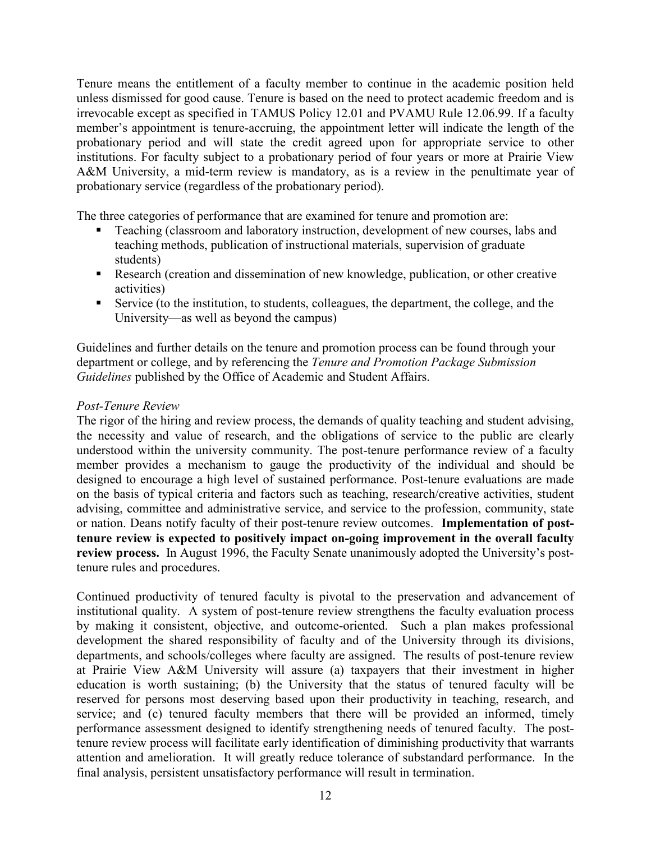Tenure means the entitlement of a faculty member to continue in the academic position held unless dismissed for good cause. Tenure is based on the need to protect academic freedom and is irrevocable except as specified in TAMUS Policy 12.01 and PVAMU Rule 12.06.99. If a faculty member's appointment is tenure-accruing, the appointment letter will indicate the length of the probationary period and will state the credit agreed upon for appropriate service to other institutions. For faculty subject to a probationary period of four years or more at Prairie View A&M University, a mid-term review is mandatory, as is a review in the penultimate year of probationary service (regardless of the probationary period).

The three categories of performance that are examined for tenure and promotion are:

- - Teaching (classroom and laboratory instruction, development of new courses, labs and teaching methods, publication of instructional materials, supervision of graduate students)
- **-** Research (creation and dissemination of new knowledge, publication, or other creative activities)
- **Exercise** (to the institution, to students, colleagues, the department, the college, and the University—as well as beyond the campus)

Guidelines and further details on the tenure and promotion process can be found through your department or college, and by referencing the Tenure and Promotion Package Submission Guidelines published by the Office of Academic and Student Affairs.

## Post-Tenure Review

The rigor of the hiring and review process, the demands of quality teaching and student advising, the necessity and value of research, and the obligations of service to the public are clearly understood within the university community. The post-tenure performance review of a faculty member provides a mechanism to gauge the productivity of the individual and should be designed to encourage a high level of sustained performance. Post-tenure evaluations are made on the basis of typical criteria and factors such as teaching, research/creative activities, student advising, committee and administrative service, and service to the profession, community, state or nation. Deans notify faculty of their post-tenure review outcomes. Implementation of posttenure review is expected to positively impact on-going improvement in the overall faculty review process. In August 1996, the Faculty Senate unanimously adopted the University's posttenure rules and procedures.

Continued productivity of tenured faculty is pivotal to the preservation and advancement of institutional quality. A system of post-tenure review strengthens the faculty evaluation process by making it consistent, objective, and outcome-oriented. Such a plan makes professional development the shared responsibility of faculty and of the University through its divisions, departments, and schools/colleges where faculty are assigned. The results of post-tenure review at Prairie View A&M University will assure (a) taxpayers that their investment in higher education is worth sustaining; (b) the University that the status of tenured faculty will be reserved for persons most deserving based upon their productivity in teaching, research, and service; and (c) tenured faculty members that there will be provided an informed, timely performance assessment designed to identify strengthening needs of tenured faculty. The posttenure review process will facilitate early identification of diminishing productivity that warrants attention and amelioration. It will greatly reduce tolerance of substandard performance. In the final analysis, persistent unsatisfactory performance will result in termination.